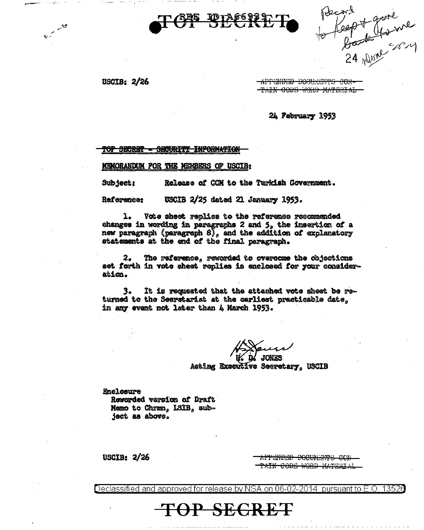

Record<br>to feept youre

USCIB:  $2/26$ 

فكلمتم مرقة

APPENDED DOCUMENTS CON-TAIN CODE WORD MATERIAL

24 February 1953

<del>TOP SECRET</del> **SECURITY INFORMATION** 

MEMORANDUM FOR THE MEMBERS OF USCIB:

Subject: Release of CCM to the Turkish Government.

USCIB 2/25 dated 21 January 1953. Reference:

ı. Vote sheet replies to the reference recommended changes in wording in paragraphs 2 and 5, the insertion of a new paragraph (paragraph  $8$ ), and the addition of explanatory statements at the end of the final peragraph.

2. The reference, rewarded to overcome the cbjections set forth in vote sheet replies is enclosed for your consideration.

3. It is requested that the attached vote sheet be returned to the Secretariat at the earliest practicable date, in any event not later than 4 March 1953.

**JONES** 

Acting Executive Secretary, USCIB

**Enclosure** Reworded version of Draft Memo to Chrmn, LSIB, subject as above.

USCIB:  $2/26$ 

<del>APPENDED DOCUMENTS COM</del> <del>TAIN CODE WORD MATERIA</del>

Declassified and approved for release by NSA on 06-02-2014. 13526 pursuant to  $E$ . O

**TOP SEGRET**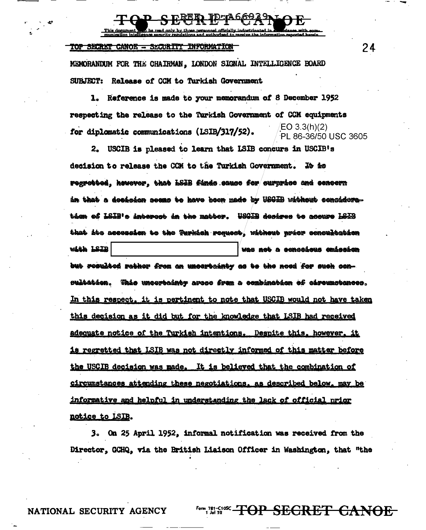TOP SECRET CANOE - SECURITY INFORMATION

MEMORANDUM FOR THE CHAIRMAN, LONDON SIGNAL INTELLIGENCE BOARD SUBJECT: Release of CCM to Turkish Government

Reference is made to your memorandum of 8 December 1952 ı. respecting the release to the Turkish Government of CCM equipments EO 3.3(h)(2) for diplomatic communications (LSIB/317/52). PL 86-36/50 USC 3605

2. USCIB is pleased to learn that ISIB concurs in USCIB's decision to release the CCM to the Turkish Government. To to rogrebbed, kowever, that LSIB finds sauce for curprise and concern an that a decision seems to have been made by USGIB without consideration of LSIB's intercet in the matter. WSGIB desires to accure LSIB that its accession to the <del>Turki</del>sh request, without prior concultation with LSIB was not a censcious emissien but resulted rather from an uncertainty as to the noed for such cen-<del>sultation</del>. <del>This uncertainty</del> areae from a combination of circumstances. In this respect, it is pertinent to note that USCIB would not have taken this decision as it did but for the knowledge that LSIB had received adequate notice of the Turkish intentions. Despite this, however, it <u>is regretted that LSIB was not directly informed of this matter before</u> the USCIB decision was made. It is believed that the combination of circumstances attending these negotiations, as described below, may be informative and helpful in understanding the lack of official prior notice to LSIB.

3. On 25 April 1952, informal notification was received from the Director, GCHQ, via the British Liaison Officer in Washington, that "the

NATIONAL SECURITY AGENCY

<del>OP SECRET CANOE</del>

24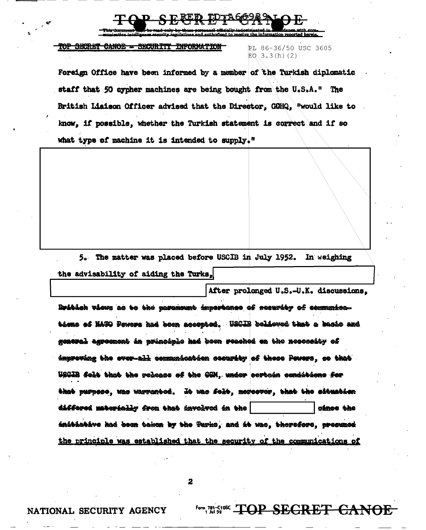mation reported bergin

## TOP SECRET CANOE - SECURITY INFORMATION

RL 86-36/50 USC 3605  $E0.3.3(h)$  (2)

Foreign Office have been informed by a member of the Turkish diplomatic staff that 50 cypher machines are being bought from the U.S.A." The British Liaison Officer advised that the Director, GOHQ, "would like to know, if possible, whether the Turkish statement is correct and if so what type of machine it is intended to supply."

5. The matter was placed before USCIB in July 1952. In weighing the advisability of aiding the Turks.

After prolonged U.S.-U.K. discussions. Britich views as to the parameunt importance of security of communications of NATO Pewers had been accepted. USCIB believed that a bacio and general agreement in principle had been reached en the necessity of improving the over-all communication security of these Poucre, so that USGIB folt that the release of the GGM, under cortein conditions for that purpose, was warrented. It was folt, moreover, that the situation differed materially from that involved in the cince the initiotive had been taken by the Turks, and it was, therefore, presumed the principle was established that the security of the communications of

 $\overline{\mathbf{2}}$ 

Form 781-C1085 TOP SECRET CANOE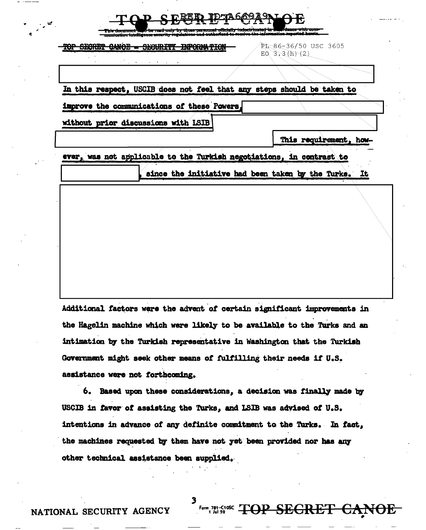| <b>SECRET</b> | CANOE - SECURITY INFORMATION                                           | PL-86-36/50 USC 3605<br>$EO$ 3.3 (h) (2)             |  |
|---------------|------------------------------------------------------------------------|------------------------------------------------------|--|
|               |                                                                        |                                                      |  |
|               | In this respect, USCIB does not feel that any steps should be taken to |                                                      |  |
|               | improve the communications of these Powers,                            |                                                      |  |
|               | without prior discussions with LSIB                                    |                                                      |  |
|               |                                                                        | This requirement, how-                               |  |
|               | ever, was not applicable to the Turkish negotiations, in contrast to   |                                                      |  |
|               |                                                                        | since the initiative had been taken by the Turks. It |  |
|               |                                                                        |                                                      |  |
|               |                                                                        |                                                      |  |
|               |                                                                        |                                                      |  |
|               |                                                                        |                                                      |  |

Additional factors were the advent of certain significant improvements in the Hagelin machine which were likely to be available to the Turks and an intimation by the Turkish representative in Washington that the Turkish Government might seek other means of fulfilling their needs if U.S. assistance were not forthcoming.

6. Based upon these considerations, a decision was finally made by USCIB in favor of assisting the Turks, and LSIB was advised of U.S. intentions in advance of any definite commitment to the Turks. In fact, the machines requested by them have not yet been provided nor has any other technical assistance been supplied.

Form 781-C10C TOP SEGRET CANOE

NATIONAL SECURITY AGENCY